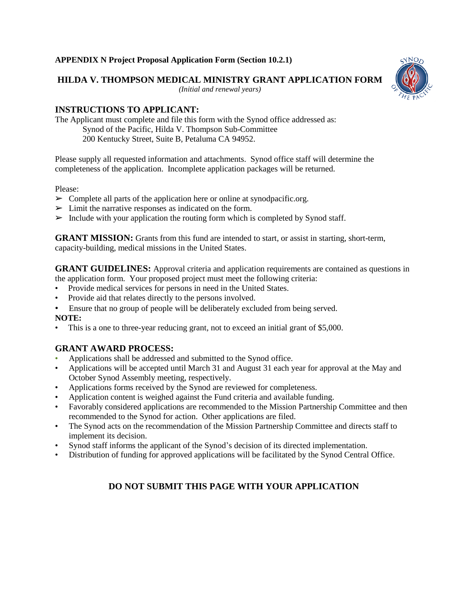### **APPENDIX N Project Proposal Application Form (Section 10.2.1)**

**HILDA V. THOMPSON MEDICAL MINISTRY GRANT APPLICATION FORM**

*(Initial and renewal years)*



# **INSTRUCTIONS TO APPLICANT:**

The Applicant must complete and file this form with the Synod office addressed as: Synod of the Pacific, Hilda V. Thompson Sub-Committee 200 Kentucky Street, Suite B, Petaluma CA 94952.

Please supply all requested information and attachments. Synod office staff will determine the completeness of the application. Incomplete application packages will be returned.

### Please:

- $\triangleright$  Complete all parts of the application here or online at synodpacific.org.
- $\triangleright$  Limit the narrative responses as indicated on the form.
- $\triangleright$  Include with your application the routing form which is completed by Synod staff.

**GRANT MISSION:** Grants from this fund are intended to start, or assist in starting, short-term, capacity-building, medical missions in the United States.

**GRANT GUIDELINES:** Approval criteria and application requirements are contained as questions in the application form. Your proposed project must meet the following criteria:

- Provide medical services for persons in need in the United States.
- Provide aid that relates directly to the persons involved.
- Ensure that no group of people will be deliberately excluded from being served.

**NOTE:**

This is a one to three-year reducing grant, not to exceed an initial grant of \$5,000.

# **GRANT AWARD PROCESS:**

- Applications shall be addressed and submitted to the Synod office.
- Applications will be accepted until March 31 and August 31 each year for approval at the May and October Synod Assembly meeting, respectively.
- Applications forms received by the Synod are reviewed for completeness.
- Application content is weighed against the Fund criteria and available funding.
- Favorably considered applications are recommended to the Mission Partnership Committee and then recommended to the Synod for action. Other applications are filed.
- The Synod acts on the recommendation of the Mission Partnership Committee and directs staff to implement its decision.
- Synod staff informs the applicant of the Synod's decision of its directed implementation.
- Distribution of funding for approved applications will be facilitated by the Synod Central Office.

# **DO NOT SUBMIT THIS PAGE WITH YOUR APPLICATION**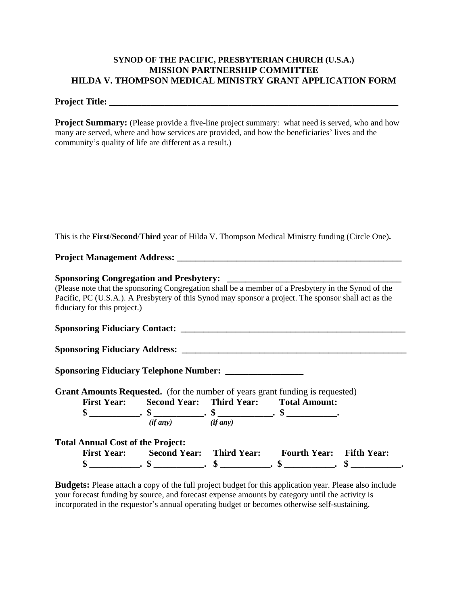### **SYNOD OF THE PACIFIC, PRESBYTERIAN CHURCH (U.S.A.) MISSION PARTNERSHIP COMMITTEE HILDA V. THOMPSON MEDICAL MINISTRY GRANT APPLICATION FORM**

### **Project Title: \_\_\_\_\_\_\_\_\_\_\_\_\_\_\_\_\_\_\_\_\_\_\_\_\_\_\_\_\_\_\_\_\_\_\_\_\_\_\_\_\_\_\_\_\_\_\_\_\_\_\_\_\_\_\_\_\_\_\_\_\_\_\_**

**Project Summary:** (Please provide a five-line project summary: what need is served, who and how many are served, where and how services are provided, and how the beneficiaries' lives and the community's quality of life are different as a result.)

This is the **First**/**Second**/**Third** year of Hilda V. Thompson Medical Ministry funding (Circle One)**.**

**Project Management Address: \_\_\_\_\_\_\_\_\_\_\_\_\_\_\_\_\_\_\_\_\_\_\_\_\_\_\_\_\_\_\_\_\_\_\_\_\_\_\_\_\_\_\_\_\_\_\_\_\_**

#### **Sponsoring Congregation and Presbytery: \_\_\_\_\_\_\_\_\_\_\_\_\_\_\_\_\_\_\_\_\_\_\_\_\_\_\_\_\_\_\_\_\_\_\_\_\_\_**

(Please note that the sponsoring Congregation shall be a member of a Presbytery in the Synod of the Pacific, PC (U.S.A.). A Presbytery of this Synod may sponsor a project. The sponsor shall act as the fiduciary for this project.)

**Sponsoring Fiduciary Contact:** 

**Sponsoring Fiduciary Address: \_\_\_\_\_\_\_\_\_\_\_\_\_\_\_\_\_\_\_\_\_\_\_\_\_\_\_\_\_\_\_\_\_\_\_\_\_\_\_\_\_\_\_\_\_\_\_\_\_**

**Sponsoring Fiduciary Telephone Number: \_\_\_\_\_\_\_\_\_\_\_\_\_\_\_\_\_**

**Grant Amounts Requested.** (for the number of years grant funding is requested) **First Year: Second Year: Third Year: Total Amount:** 

| riist real: | Second real: Thing real: |               | Total Allioulit. |
|-------------|--------------------------|---------------|------------------|
|             | ٠п                       | мD            | ۰П               |
|             | $(if$ any $)$            | $(if$ any $)$ |                  |

| <b>Total Annual Cost of the Project:</b> |                                 |                                 |  |
|------------------------------------------|---------------------------------|---------------------------------|--|
| <b>First Year:</b>                       | <b>Second Year:</b> Third Year: | <b>Fourth Year:</b> Fifth Year: |  |
|                                          |                                 | п.                              |  |

**Budgets:** Please attach a copy of the full project budget for this application year. Please also include your forecast funding by source, and forecast expense amounts by category until the activity is incorporated in the requestor's annual operating budget or becomes otherwise self-sustaining.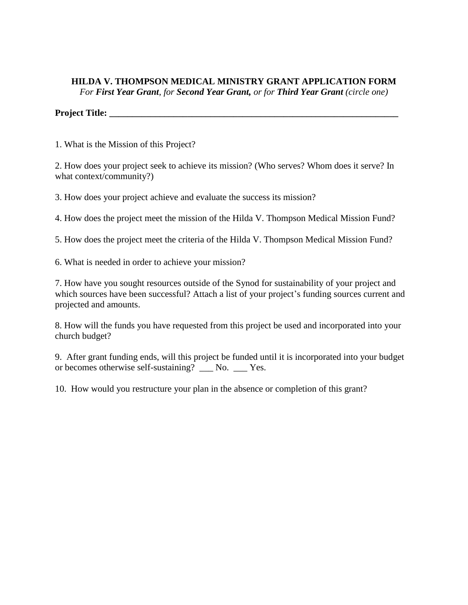# **HILDA V. THOMPSON MEDICAL MINISTRY GRANT APPLICATION FORM** *For First Year Grant, for Second Year Grant, or for Third Year Grant (circle one)*

**Project Title: \_\_\_\_\_\_\_\_\_\_\_\_\_\_\_\_\_\_\_\_\_\_\_\_\_\_\_\_\_\_\_\_\_\_\_\_\_\_\_\_\_\_\_\_\_\_\_\_\_\_\_\_\_\_\_\_\_\_\_\_\_\_\_**

1. What is the Mission of this Project?

2. How does your project seek to achieve its mission? (Who serves? Whom does it serve? In what context/community?)

3. How does your project achieve and evaluate the success its mission?

4. How does the project meet the mission of the Hilda V. Thompson Medical Mission Fund?

5. How does the project meet the criteria of the Hilda V. Thompson Medical Mission Fund?

6. What is needed in order to achieve your mission?

7. How have you sought resources outside of the Synod for sustainability of your project and which sources have been successful? Attach a list of your project's funding sources current and projected and amounts.

8. How will the funds you have requested from this project be used and incorporated into your church budget?

9. After grant funding ends, will this project be funded until it is incorporated into your budget or becomes otherwise self-sustaining? \_\_\_ No. \_\_\_ Yes.

10. How would you restructure your plan in the absence or completion of this grant?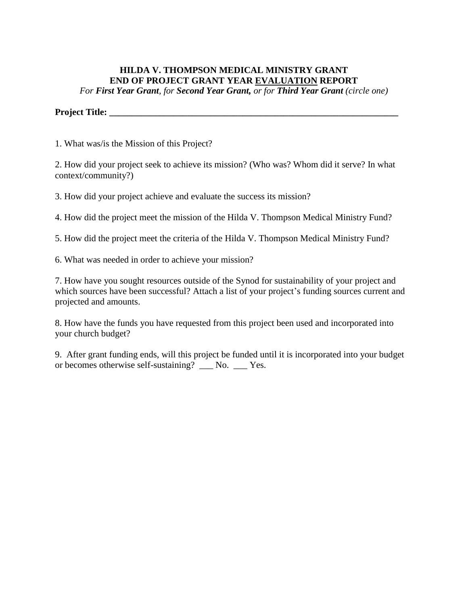# **HILDA V. THOMPSON MEDICAL MINISTRY GRANT END OF PROJECT GRANT YEAR EVALUATION REPORT**

*For First Year Grant, for Second Year Grant, or for Third Year Grant (circle one)*

### **Project Title: \_\_\_\_\_\_\_\_\_\_\_\_\_\_\_\_\_\_\_\_\_\_\_\_\_\_\_\_\_\_\_\_\_\_\_\_\_\_\_\_\_\_\_\_\_\_\_\_\_\_\_\_\_\_\_\_\_\_\_\_\_\_\_**

1. What was/is the Mission of this Project?

2. How did your project seek to achieve its mission? (Who was? Whom did it serve? In what context/community?)

3. How did your project achieve and evaluate the success its mission?

4. How did the project meet the mission of the Hilda V. Thompson Medical Ministry Fund?

5. How did the project meet the criteria of the Hilda V. Thompson Medical Ministry Fund?

6. What was needed in order to achieve your mission?

7. How have you sought resources outside of the Synod for sustainability of your project and which sources have been successful? Attach a list of your project's funding sources current and projected and amounts.

8. How have the funds you have requested from this project been used and incorporated into your church budget?

9. After grant funding ends, will this project be funded until it is incorporated into your budget or becomes otherwise self-sustaining? \_\_\_ No. \_\_\_ Yes.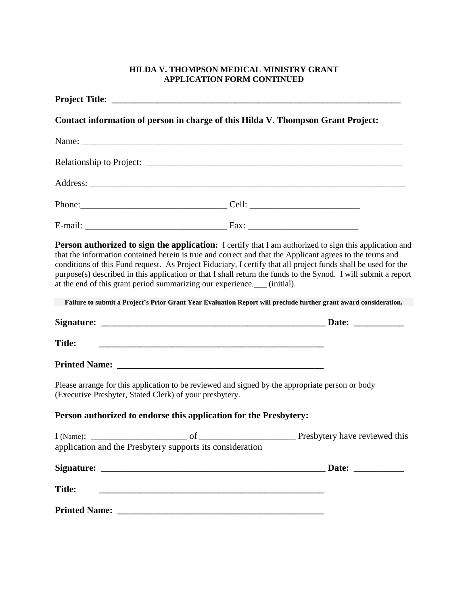## **HILDA V. THOMPSON MEDICAL MINISTRY GRANT APPLICATION FORM CONTINUED**

|               | Contact information of person in charge of this Hilda V. Thompson Grant Project:                                                                                                                                                     |                                                                                                                                                                                                                                                                                                                                                                                                                                                                                                                                                                                   |
|---------------|--------------------------------------------------------------------------------------------------------------------------------------------------------------------------------------------------------------------------------------|-----------------------------------------------------------------------------------------------------------------------------------------------------------------------------------------------------------------------------------------------------------------------------------------------------------------------------------------------------------------------------------------------------------------------------------------------------------------------------------------------------------------------------------------------------------------------------------|
|               |                                                                                                                                                                                                                                      |                                                                                                                                                                                                                                                                                                                                                                                                                                                                                                                                                                                   |
|               |                                                                                                                                                                                                                                      |                                                                                                                                                                                                                                                                                                                                                                                                                                                                                                                                                                                   |
|               |                                                                                                                                                                                                                                      |                                                                                                                                                                                                                                                                                                                                                                                                                                                                                                                                                                                   |
|               |                                                                                                                                                                                                                                      |                                                                                                                                                                                                                                                                                                                                                                                                                                                                                                                                                                                   |
|               |                                                                                                                                                                                                                                      |                                                                                                                                                                                                                                                                                                                                                                                                                                                                                                                                                                                   |
|               | at the end of this grant period summarizing our experience.___ (initial).                                                                                                                                                            | <b>Person authorized to sign the application:</b> I certify that I am authorized to sign this application and<br>that the information contained herein is true and correct and that the Applicant agrees to the terms and<br>conditions of this Fund request. As Project Fiduciary, I certify that all project funds shall be used for the<br>purpose(s) described in this application or that I shall return the funds to the Synod. I will submit a report<br>Failure to submit a Project's Prior Grant Year Evaluation Report will preclude further grant award consideration. |
|               |                                                                                                                                                                                                                                      |                                                                                                                                                                                                                                                                                                                                                                                                                                                                                                                                                                                   |
| <b>Title:</b> | <u> 1989 - Johann Harry Harry Harry Harry Harry Harry Harry Harry Harry Harry Harry Harry Harry Harry Harry Harry Harry Harry Harry Harry Harry Harry Harry Harry Harry Harry Harry Harry Harry Harry Harry Harry Harry Harry Ha</u> |                                                                                                                                                                                                                                                                                                                                                                                                                                                                                                                                                                                   |
|               |                                                                                                                                                                                                                                      |                                                                                                                                                                                                                                                                                                                                                                                                                                                                                                                                                                                   |
|               | Please arrange for this application to be reviewed and signed by the appropriate person or body<br>(Executive Presbyter, Stated Clerk) of your presbytery.                                                                           |                                                                                                                                                                                                                                                                                                                                                                                                                                                                                                                                                                                   |
|               | Person authorized to endorse this application for the Presbytery:                                                                                                                                                                    |                                                                                                                                                                                                                                                                                                                                                                                                                                                                                                                                                                                   |
| $l$ (Name):   | application and the Presbytery supports its consideration                                                                                                                                                                            | Department of <u>Communications</u> Presbytery have reviewed this                                                                                                                                                                                                                                                                                                                                                                                                                                                                                                                 |
|               |                                                                                                                                                                                                                                      |                                                                                                                                                                                                                                                                                                                                                                                                                                                                                                                                                                                   |
| <b>Title:</b> |                                                                                                                                                                                                                                      |                                                                                                                                                                                                                                                                                                                                                                                                                                                                                                                                                                                   |
|               |                                                                                                                                                                                                                                      |                                                                                                                                                                                                                                                                                                                                                                                                                                                                                                                                                                                   |